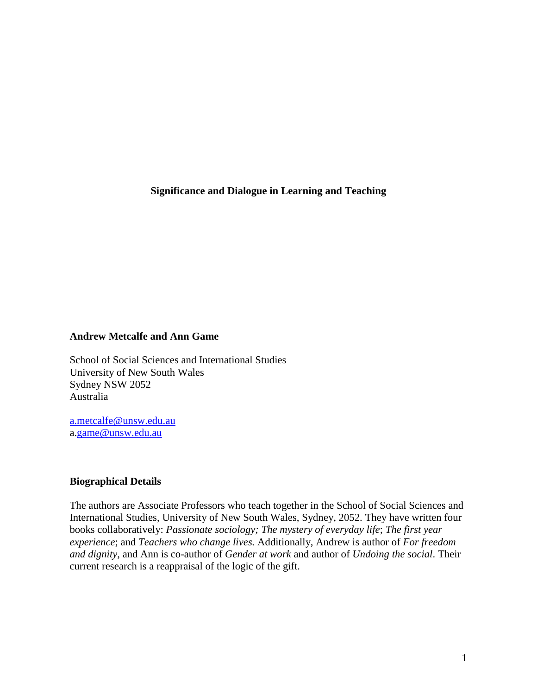**Significance and Dialogue in Learning and Teaching**

## **Andrew Metcalfe and Ann Game**

School of Social Sciences and International Studies University of New South Wales Sydney NSW 2052 Australia

[a.metcalfe@unsw.edu.au](mailto:a.metcalfe@unsw.edu.au) a[.game@unsw.edu.au](mailto:a.game@unsw.edu.au)

# **Biographical Details**

The authors are Associate Professors who teach together in the School of Social Sciences and International Studies, University of New South Wales, Sydney, 2052. They have written four books collaboratively: *Passionate sociology; The mystery of everyday life*; *The first year experience*; and *Teachers who change lives.* Additionally, Andrew is author of *For freedom and dignity*, and Ann is co-author of *Gender at work* and author of *Undoing the social*. Their current research is a reappraisal of the logic of the gift.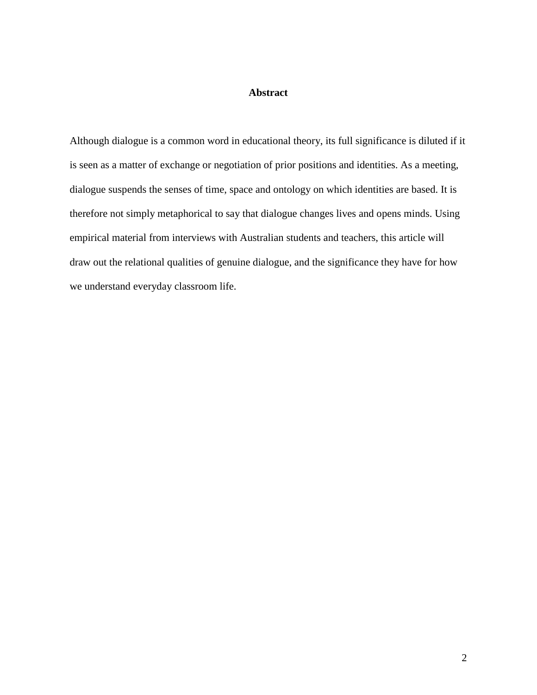# **Abstract**

Although dialogue is a common word in educational theory, its full significance is diluted if it is seen as a matter of exchange or negotiation of prior positions and identities. As a meeting, dialogue suspends the senses of time, space and ontology on which identities are based. It is therefore not simply metaphorical to say that dialogue changes lives and opens minds. Using empirical material from interviews with Australian students and teachers, this article will draw out the relational qualities of genuine dialogue, and the significance they have for how we understand everyday classroom life.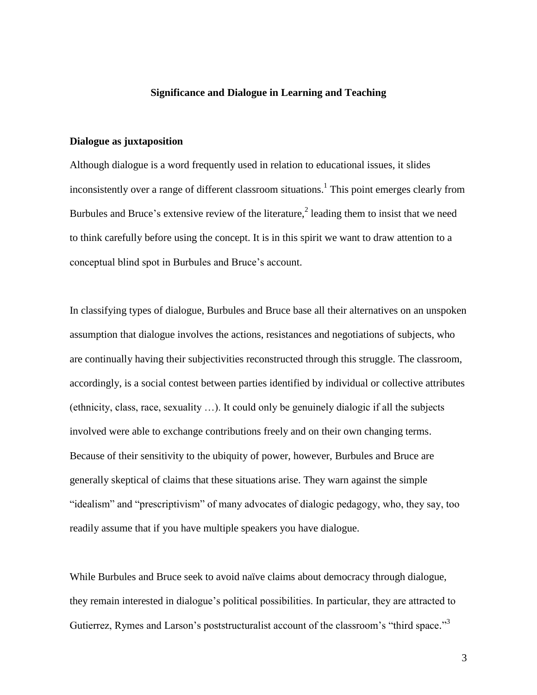### **Significance and Dialogue in Learning and Teaching**

# **Dialogue as juxtaposition**

Although dialogue is a word frequently used in relation to educational issues, it slides inconsistently over a range of different classroom situations.<sup>1</sup> This point emerges clearly from Burbules and Bruce's extensive review of the literature,<sup>2</sup> leading them to insist that we need to think carefully before using the concept. It is in this spirit we want to draw attention to a conceptual blind spot in Burbules and Bruce"s account.

In classifying types of dialogue, Burbules and Bruce base all their alternatives on an unspoken assumption that dialogue involves the actions, resistances and negotiations of subjects, who are continually having their subjectivities reconstructed through this struggle. The classroom, accordingly, is a social contest between parties identified by individual or collective attributes (ethnicity, class, race, sexuality …). It could only be genuinely dialogic if all the subjects involved were able to exchange contributions freely and on their own changing terms. Because of their sensitivity to the ubiquity of power, however, Burbules and Bruce are generally skeptical of claims that these situations arise. They warn against the simple "idealism" and "prescriptivism" of many advocates of dialogic pedagogy, who, they say, too readily assume that if you have multiple speakers you have dialogue.

While Burbules and Bruce seek to avoid naïve claims about democracy through dialogue, they remain interested in dialogue"s political possibilities. In particular, they are attracted to Gutierrez, Rymes and Larson's poststructuralist account of the classroom's "third space."<sup>3</sup>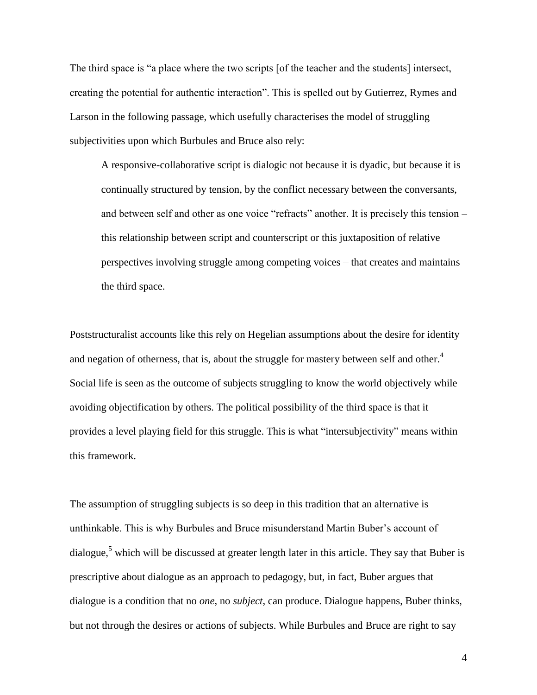The third space is "a place where the two scripts [of the teacher and the students] intersect, creating the potential for authentic interaction". This is spelled out by Gutierrez, Rymes and Larson in the following passage, which usefully characterises the model of struggling subjectivities upon which Burbules and Bruce also rely:

A responsive-collaborative script is dialogic not because it is dyadic, but because it is continually structured by tension, by the conflict necessary between the conversants, and between self and other as one voice "refracts" another. It is precisely this tension – this relationship between script and counterscript or this juxtaposition of relative perspectives involving struggle among competing voices – that creates and maintains the third space.

Poststructuralist accounts like this rely on Hegelian assumptions about the desire for identity and negation of otherness, that is, about the struggle for mastery between self and other.<sup>4</sup> Social life is seen as the outcome of subjects struggling to know the world objectively while avoiding objectification by others. The political possibility of the third space is that it provides a level playing field for this struggle. This is what "intersubjectivity" means within this framework.

The assumption of struggling subjects is so deep in this tradition that an alternative is unthinkable. This is why Burbules and Bruce misunderstand Martin Buber"s account of dialogue,<sup>5</sup> which will be discussed at greater length later in this article. They say that Buber is prescriptive about dialogue as an approach to pedagogy, but, in fact, Buber argues that dialogue is a condition that no *one*, no *subject*, can produce. Dialogue happens, Buber thinks, but not through the desires or actions of subjects. While Burbules and Bruce are right to say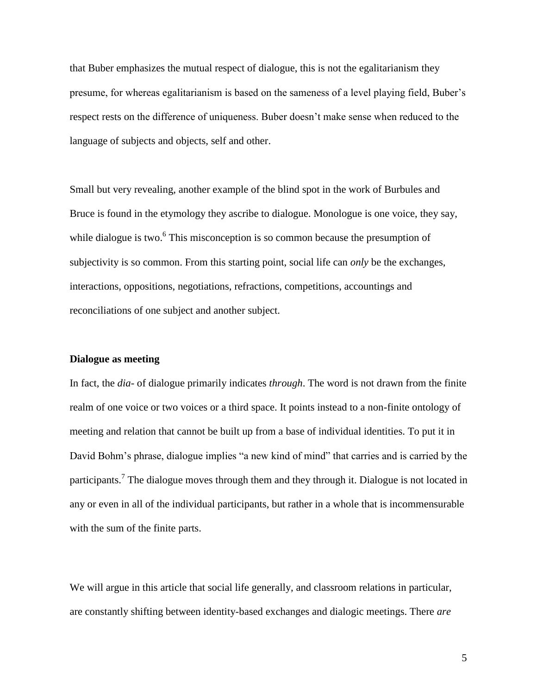that Buber emphasizes the mutual respect of dialogue, this is not the egalitarianism they presume, for whereas egalitarianism is based on the sameness of a level playing field, Buber"s respect rests on the difference of uniqueness. Buber doesn"t make sense when reduced to the language of subjects and objects, self and other.

Small but very revealing, another example of the blind spot in the work of Burbules and Bruce is found in the etymology they ascribe to dialogue. Monologue is one voice, they say, while dialogue is two.<sup>6</sup> This misconception is so common because the presumption of subjectivity is so common. From this starting point, social life can *only* be the exchanges, interactions, oppositions, negotiations, refractions, competitions, accountings and reconciliations of one subject and another subject.

## **Dialogue as meeting**

In fact, the *dia-* of dialogue primarily indicates *through*. The word is not drawn from the finite realm of one voice or two voices or a third space. It points instead to a non-finite ontology of meeting and relation that cannot be built up from a base of individual identities. To put it in David Bohm"s phrase, dialogue implies "a new kind of mind" that carries and is carried by the participants.<sup>7</sup> The dialogue moves through them and they through it. Dialogue is not located in any or even in all of the individual participants, but rather in a whole that is incommensurable with the sum of the finite parts.

We will argue in this article that social life generally, and classroom relations in particular, are constantly shifting between identity-based exchanges and dialogic meetings. There *are*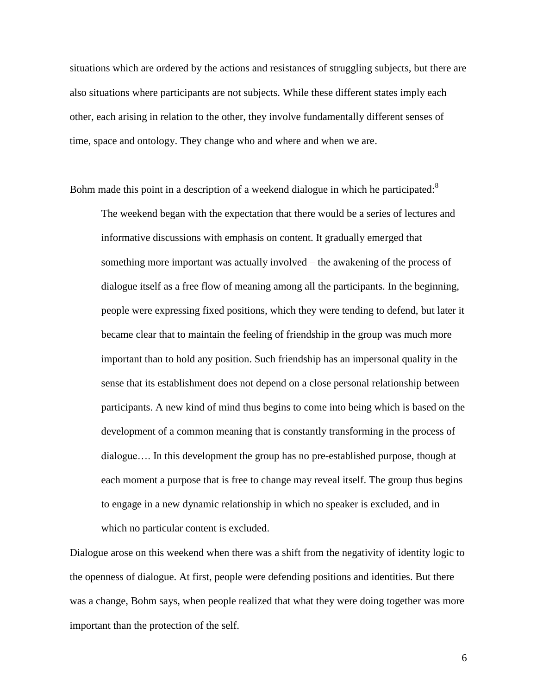situations which are ordered by the actions and resistances of struggling subjects, but there are also situations where participants are not subjects. While these different states imply each other, each arising in relation to the other, they involve fundamentally different senses of time, space and ontology. They change who and where and when we are.

Bohm made this point in a description of a weekend dialogue in which he participated: $8$ 

The weekend began with the expectation that there would be a series of lectures and informative discussions with emphasis on content. It gradually emerged that something more important was actually involved – the awakening of the process of dialogue itself as a free flow of meaning among all the participants. In the beginning, people were expressing fixed positions, which they were tending to defend, but later it became clear that to maintain the feeling of friendship in the group was much more important than to hold any position. Such friendship has an impersonal quality in the sense that its establishment does not depend on a close personal relationship between participants. A new kind of mind thus begins to come into being which is based on the development of a common meaning that is constantly transforming in the process of dialogue…. In this development the group has no pre-established purpose, though at each moment a purpose that is free to change may reveal itself. The group thus begins to engage in a new dynamic relationship in which no speaker is excluded, and in which no particular content is excluded.

Dialogue arose on this weekend when there was a shift from the negativity of identity logic to the openness of dialogue. At first, people were defending positions and identities. But there was a change, Bohm says, when people realized that what they were doing together was more important than the protection of the self.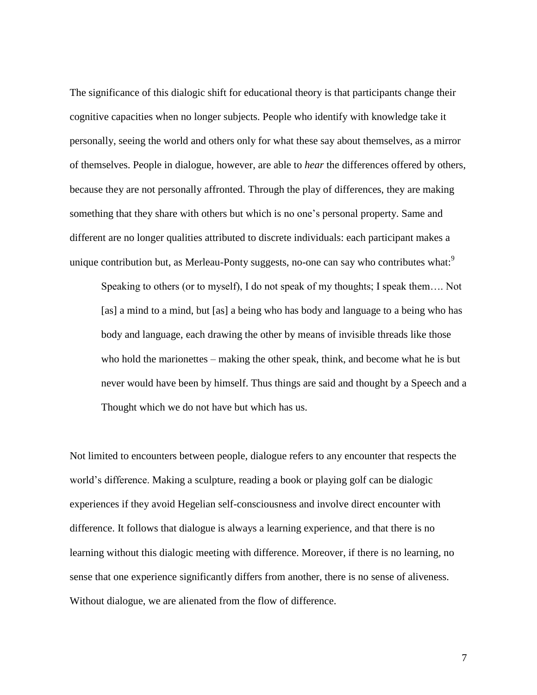The significance of this dialogic shift for educational theory is that participants change their cognitive capacities when no longer subjects. People who identify with knowledge take it personally, seeing the world and others only for what these say about themselves, as a mirror of themselves. People in dialogue, however, are able to *hear* the differences offered by others, because they are not personally affronted. Through the play of differences, they are making something that they share with others but which is no one"s personal property. Same and different are no longer qualities attributed to discrete individuals: each participant makes a unique contribution but, as Merleau-Ponty suggests, no-one can say who contributes what:<sup>9</sup>

Speaking to others (or to myself), I do not speak of my thoughts; I speak them…. Not [as] a mind to a mind, but [as] a being who has body and language to a being who has body and language, each drawing the other by means of invisible threads like those who hold the marionettes – making the other speak, think, and become what he is but never would have been by himself. Thus things are said and thought by a Speech and a Thought which we do not have but which has us.

Not limited to encounters between people, dialogue refers to any encounter that respects the world"s difference. Making a sculpture, reading a book or playing golf can be dialogic experiences if they avoid Hegelian self-consciousness and involve direct encounter with difference. It follows that dialogue is always a learning experience, and that there is no learning without this dialogic meeting with difference. Moreover, if there is no learning, no sense that one experience significantly differs from another, there is no sense of aliveness. Without dialogue, we are alienated from the flow of difference.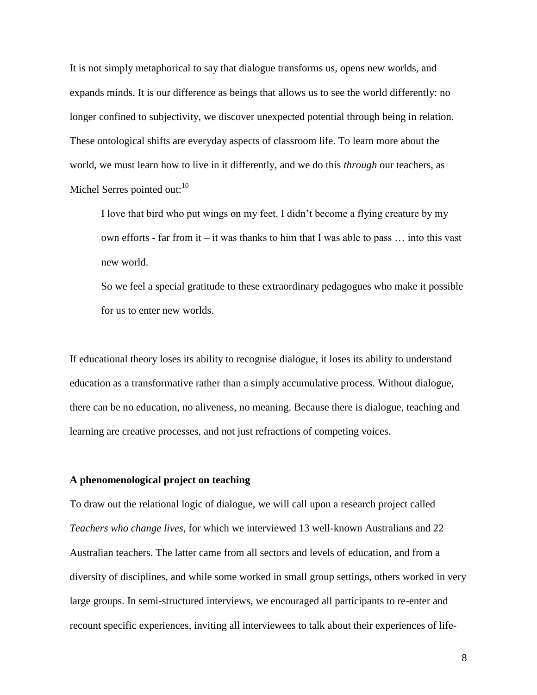It is not simply metaphorical to say that dialogue transforms us, opens new worlds, and expands minds. It is our difference as beings that allows us to see the world differently: no longer confined to subjectivity, we discover unexpected potential through being in relation. These ontological shifts are everyday aspects of classroom life. To learn more about the world, we must learn how to live in it differently, and we do this *through* our teachers, as Michel Serres pointed out:  $10<sup>10</sup>$ 

I love that bird who put wings on my feet. I didn"t become a flying creature by my own efforts - far from it – it was thanks to him that I was able to pass  $\dots$  into this vast new world.

So we feel a special gratitude to these extraordinary pedagogues who make it possible for us to enter new worlds.

If educational theory loses its ability to recognise dialogue, it loses its ability to understand education as a transformative rather than a simply accumulative process. Without dialogue, there can be no education, no aliveness, no meaning. Because there is dialogue, teaching and learning are creative processes, and not just refractions of competing voices.

## **A phenomenological project on teaching**

To draw out the relational logic of dialogue, we will call upon a research project called *Teachers who change lives*, for which we interviewed 13 well-known Australians and 22 Australian teachers. The latter came from all sectors and levels of education, and from a diversity of disciplines, and while some worked in small group settings, others worked in very large groups. In semi-structured interviews, we encouraged all participants to re-enter and recount specific experiences, inviting all interviewees to talk about their experiences of life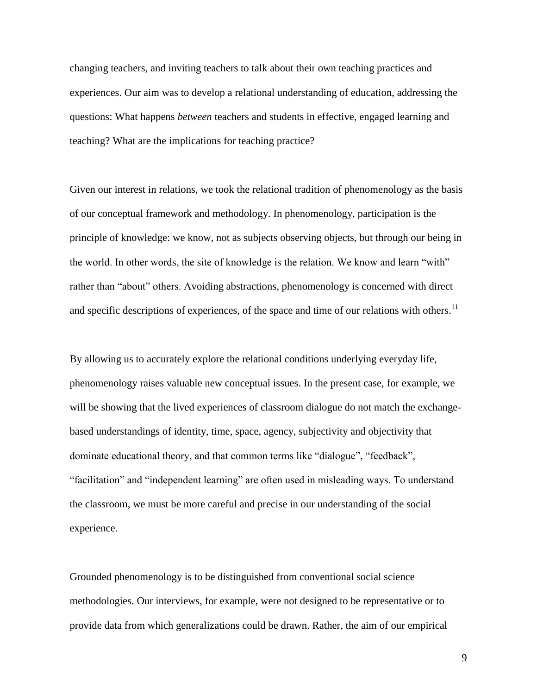changing teachers, and inviting teachers to talk about their own teaching practices and experiences. Our aim was to develop a relational understanding of education, addressing the questions: What happens *between* teachers and students in effective, engaged learning and teaching? What are the implications for teaching practice?

Given our interest in relations, we took the relational tradition of phenomenology as the basis of our conceptual framework and methodology. In phenomenology, participation is the principle of knowledge: we know, not as subjects observing objects, but through our being in the world. In other words, the site of knowledge is the relation. We know and learn "with" rather than "about" others. Avoiding abstractions, phenomenology is concerned with direct and specific descriptions of experiences, of the space and time of our relations with others.<sup>11</sup>

By allowing us to accurately explore the relational conditions underlying everyday life, phenomenology raises valuable new conceptual issues. In the present case, for example, we will be showing that the lived experiences of classroom dialogue do not match the exchangebased understandings of identity, time, space, agency, subjectivity and objectivity that dominate educational theory, and that common terms like "dialogue", "feedback", "facilitation" and "independent learning" are often used in misleading ways. To understand the classroom, we must be more careful and precise in our understanding of the social experience.

Grounded phenomenology is to be distinguished from conventional social science methodologies. Our interviews, for example, were not designed to be representative or to provide data from which generalizations could be drawn. Rather, the aim of our empirical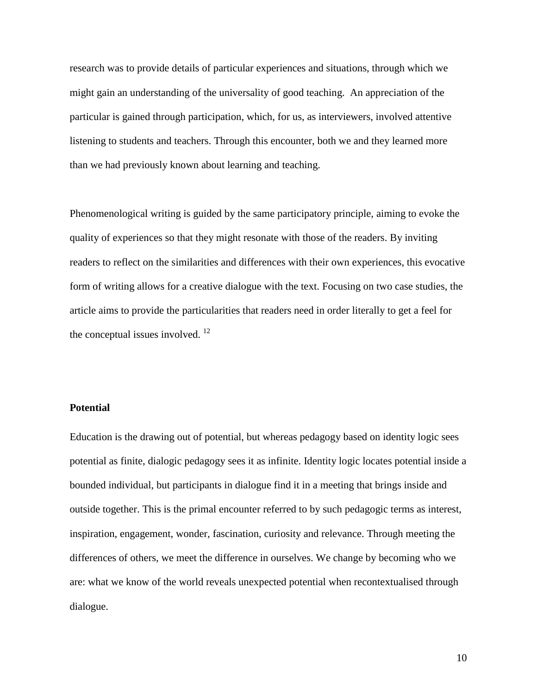research was to provide details of particular experiences and situations, through which we might gain an understanding of the universality of good teaching. An appreciation of the particular is gained through participation, which, for us, as interviewers, involved attentive listening to students and teachers. Through this encounter, both we and they learned more than we had previously known about learning and teaching.

Phenomenological writing is guided by the same participatory principle, aiming to evoke the quality of experiences so that they might resonate with those of the readers. By inviting readers to reflect on the similarities and differences with their own experiences, this evocative form of writing allows for a creative dialogue with the text. Focusing on two case studies, the article aims to provide the particularities that readers need in order literally to get a feel for the conceptual issues involved. <sup>12</sup>

# **Potential**

Education is the drawing out of potential, but whereas pedagogy based on identity logic sees potential as finite, dialogic pedagogy sees it as infinite. Identity logic locates potential inside a bounded individual, but participants in dialogue find it in a meeting that brings inside and outside together. This is the primal encounter referred to by such pedagogic terms as interest, inspiration, engagement, wonder, fascination, curiosity and relevance. Through meeting the differences of others, we meet the difference in ourselves. We change by becoming who we are: what we know of the world reveals unexpected potential when recontextualised through dialogue.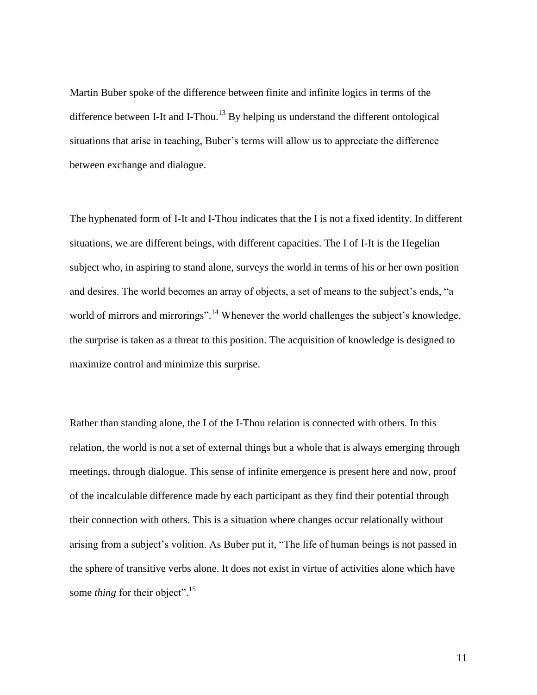Martin Buber spoke of the difference between finite and infinite logics in terms of the difference between I-It and I-Thou.<sup>13</sup> By helping us understand the different ontological situations that arise in teaching, Buber"s terms will allow us to appreciate the difference between exchange and dialogue.

The hyphenated form of I-It and I-Thou indicates that the I is not a fixed identity. In different situations, we are different beings, with different capacities. The I of I-It is the Hegelian subject who, in aspiring to stand alone, surveys the world in terms of his or her own position and desires. The world becomes an array of objects, a set of means to the subject's ends, "a world of mirrors and mirrorings".<sup>14</sup> Whenever the world challenges the subject's knowledge, the surprise is taken as a threat to this position. The acquisition of knowledge is designed to maximize control and minimize this surprise.

Rather than standing alone, the I of the I-Thou relation is connected with others. In this relation, the world is not a set of external things but a whole that is always emerging through meetings, through dialogue. This sense of infinite emergence is present here and now, proof of the incalculable difference made by each participant as they find their potential through their connection with others. This is a situation where changes occur relationally without arising from a subject's volition. As Buber put it, "The life of human beings is not passed in the sphere of transitive verbs alone. It does not exist in virtue of activities alone which have some *thing* for their object".<sup>15</sup>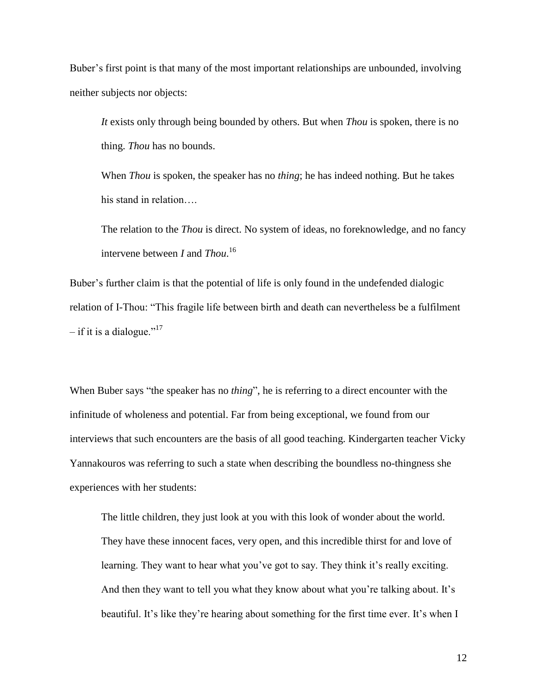Buber's first point is that many of the most important relationships are unbounded, involving neither subjects nor objects:

*It* exists only through being bounded by others. But when *Thou* is spoken, there is no thing. *Thou* has no bounds.

When *Thou* is spoken, the speaker has no *thing*; he has indeed nothing. But he takes his stand in relation….

The relation to the *Thou* is direct. No system of ideas, no foreknowledge, and no fancy intervene between *I* and *Thou*. 16

Buber"s further claim is that the potential of life is only found in the undefended dialogic relation of I-Thou: "This fragile life between birth and death can nevertheless be a fulfilment – if it is a dialogue."<sup>17</sup>

When Buber says "the speaker has no *thing*", he is referring to a direct encounter with the infinitude of wholeness and potential. Far from being exceptional, we found from our interviews that such encounters are the basis of all good teaching. Kindergarten teacher Vicky Yannakouros was referring to such a state when describing the boundless no-thingness she experiences with her students:

The little children, they just look at you with this look of wonder about the world. They have these innocent faces, very open, and this incredible thirst for and love of learning. They want to hear what you've got to say. They think it's really exciting. And then they want to tell you what they know about what you're talking about. It's beautiful. It's like they're hearing about something for the first time ever. It's when I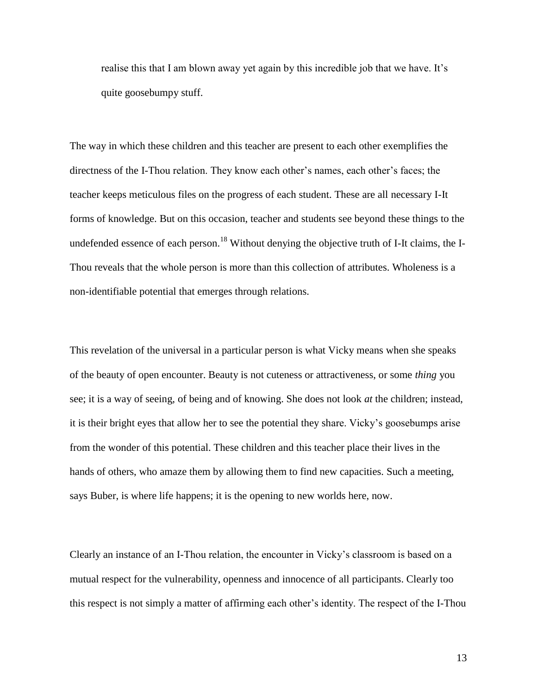realise this that I am blown away yet again by this incredible job that we have. It"s quite goosebumpy stuff.

The way in which these children and this teacher are present to each other exemplifies the directness of the I-Thou relation. They know each other"s names, each other"s faces; the teacher keeps meticulous files on the progress of each student. These are all necessary I-It forms of knowledge. But on this occasion, teacher and students see beyond these things to the undefended essence of each person.<sup>18</sup> Without denying the objective truth of I-It claims, the I-Thou reveals that the whole person is more than this collection of attributes. Wholeness is a non-identifiable potential that emerges through relations.

This revelation of the universal in a particular person is what Vicky means when she speaks of the beauty of open encounter. Beauty is not cuteness or attractiveness, or some *thing* you see; it is a way of seeing, of being and of knowing. She does not look *at* the children; instead, it is their bright eyes that allow her to see the potential they share. Vicky"s goosebumps arise from the wonder of this potential. These children and this teacher place their lives in the hands of others, who amaze them by allowing them to find new capacities. Such a meeting, says Buber, is where life happens; it is the opening to new worlds here, now.

Clearly an instance of an I-Thou relation, the encounter in Vicky"s classroom is based on a mutual respect for the vulnerability, openness and innocence of all participants. Clearly too this respect is not simply a matter of affirming each other"s identity. The respect of the I-Thou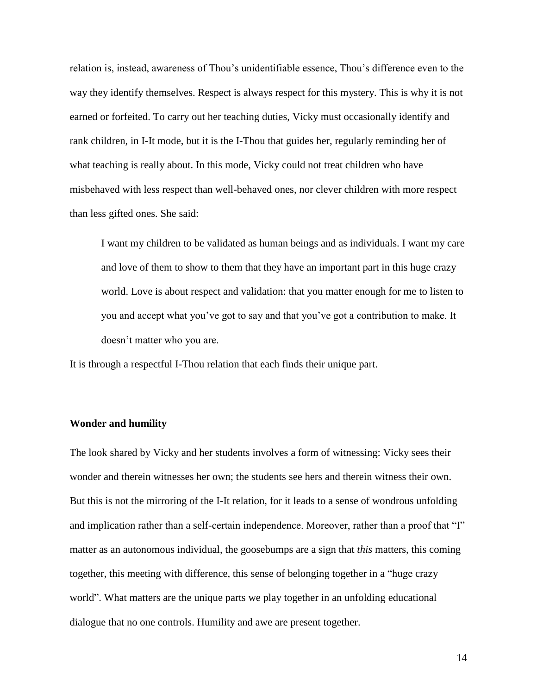relation is, instead, awareness of Thou"s unidentifiable essence, Thou"s difference even to the way they identify themselves. Respect is always respect for this mystery. This is why it is not earned or forfeited. To carry out her teaching duties, Vicky must occasionally identify and rank children, in I-It mode, but it is the I-Thou that guides her, regularly reminding her of what teaching is really about. In this mode, Vicky could not treat children who have misbehaved with less respect than well-behaved ones, nor clever children with more respect than less gifted ones. She said:

I want my children to be validated as human beings and as individuals. I want my care and love of them to show to them that they have an important part in this huge crazy world. Love is about respect and validation: that you matter enough for me to listen to you and accept what you"ve got to say and that you"ve got a contribution to make. It doesn"t matter who you are.

It is through a respectful I-Thou relation that each finds their unique part.

#### **Wonder and humility**

The look shared by Vicky and her students involves a form of witnessing: Vicky sees their wonder and therein witnesses her own; the students see hers and therein witness their own. But this is not the mirroring of the I-It relation, for it leads to a sense of wondrous unfolding and implication rather than a self-certain independence. Moreover, rather than a proof that "I" matter as an autonomous individual, the goosebumps are a sign that *this* matters, this coming together, this meeting with difference, this sense of belonging together in a "huge crazy world". What matters are the unique parts we play together in an unfolding educational dialogue that no one controls. Humility and awe are present together.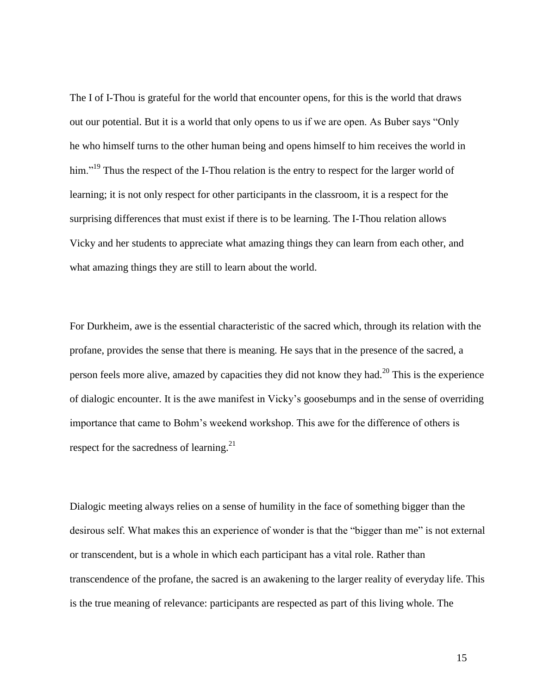The I of I-Thou is grateful for the world that encounter opens, for this is the world that draws out our potential. But it is a world that only opens to us if we are open. As Buber says "Only he who himself turns to the other human being and opens himself to him receives the world in him."<sup>19</sup> Thus the respect of the I-Thou relation is the entry to respect for the larger world of learning; it is not only respect for other participants in the classroom, it is a respect for the surprising differences that must exist if there is to be learning. The I-Thou relation allows Vicky and her students to appreciate what amazing things they can learn from each other, and what amazing things they are still to learn about the world.

For Durkheim, awe is the essential characteristic of the sacred which, through its relation with the profane, provides the sense that there is meaning. He says that in the presence of the sacred, a person feels more alive, amazed by capacities they did not know they had.<sup>20</sup> This is the experience of dialogic encounter. It is the awe manifest in Vicky"s goosebumps and in the sense of overriding importance that came to Bohm"s weekend workshop. This awe for the difference of others is respect for the sacredness of learning.<sup>21</sup>

Dialogic meeting always relies on a sense of humility in the face of something bigger than the desirous self. What makes this an experience of wonder is that the "bigger than me" is not external or transcendent, but is a whole in which each participant has a vital role. Rather than transcendence of the profane, the sacred is an awakening to the larger reality of everyday life. This is the true meaning of relevance: participants are respected as part of this living whole. The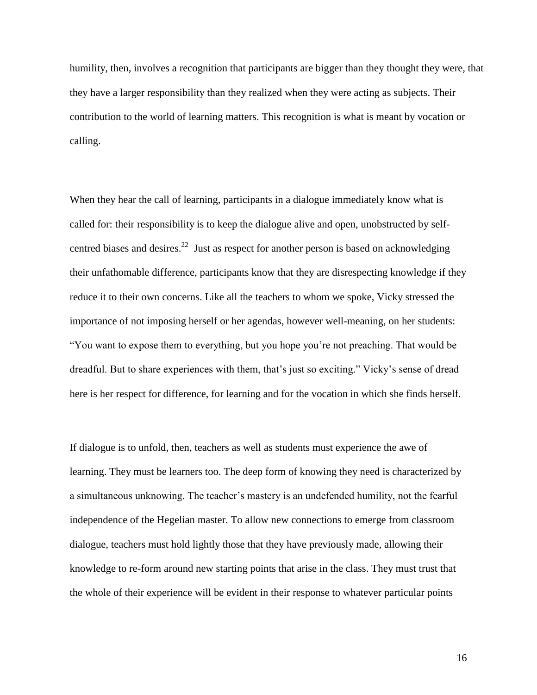humility, then, involves a recognition that participants are bigger than they thought they were, that they have a larger responsibility than they realized when they were acting as subjects. Their contribution to the world of learning matters. This recognition is what is meant by vocation or calling.

When they hear the call of learning, participants in a dialogue immediately know what is called for: their responsibility is to keep the dialogue alive and open, unobstructed by selfcentred biases and desires.<sup>22</sup> Just as respect for another person is based on acknowledging their unfathomable difference, participants know that they are disrespecting knowledge if they reduce it to their own concerns. Like all the teachers to whom we spoke, Vicky stressed the importance of not imposing herself or her agendas, however well-meaning, on her students: "You want to expose them to everything, but you hope you"re not preaching. That would be dreadful. But to share experiences with them, that"s just so exciting." Vicky"s sense of dread here is her respect for difference, for learning and for the vocation in which she finds herself.

If dialogue is to unfold, then, teachers as well as students must experience the awe of learning. They must be learners too. The deep form of knowing they need is characterized by a simultaneous unknowing. The teacher's mastery is an undefended humility, not the fearful independence of the Hegelian master. To allow new connections to emerge from classroom dialogue, teachers must hold lightly those that they have previously made, allowing their knowledge to re-form around new starting points that arise in the class. They must trust that the whole of their experience will be evident in their response to whatever particular points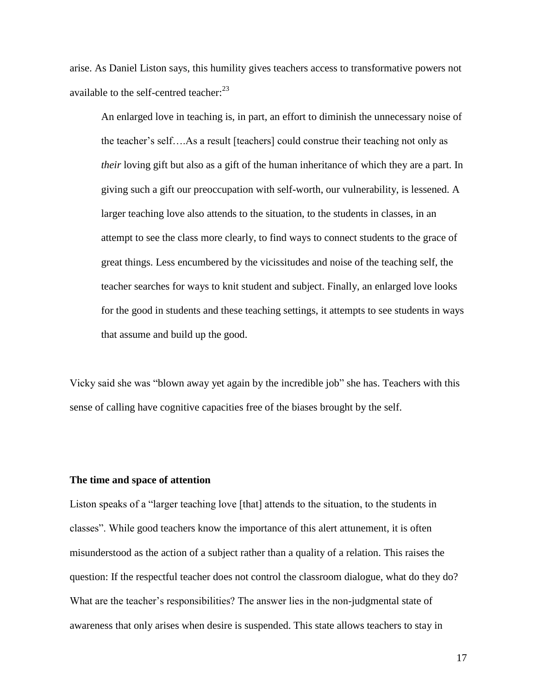arise. As Daniel Liston says, this humility gives teachers access to transformative powers not available to the self-centred teacher:<sup>23</sup>

An enlarged love in teaching is, in part, an effort to diminish the unnecessary noise of the teacher"s self….As a result [teachers] could construe their teaching not only as *their* loving gift but also as a gift of the human inheritance of which they are a part. In giving such a gift our preoccupation with self-worth, our vulnerability, is lessened. A larger teaching love also attends to the situation, to the students in classes, in an attempt to see the class more clearly, to find ways to connect students to the grace of great things. Less encumbered by the vicissitudes and noise of the teaching self, the teacher searches for ways to knit student and subject. Finally, an enlarged love looks for the good in students and these teaching settings, it attempts to see students in ways that assume and build up the good.

Vicky said she was "blown away yet again by the incredible job" she has. Teachers with this sense of calling have cognitive capacities free of the biases brought by the self.

## **The time and space of attention**

Liston speaks of a "larger teaching love [that] attends to the situation, to the students in classes". While good teachers know the importance of this alert attunement, it is often misunderstood as the action of a subject rather than a quality of a relation. This raises the question: If the respectful teacher does not control the classroom dialogue, what do they do? What are the teacher's responsibilities? The answer lies in the non-judgmental state of awareness that only arises when desire is suspended. This state allows teachers to stay in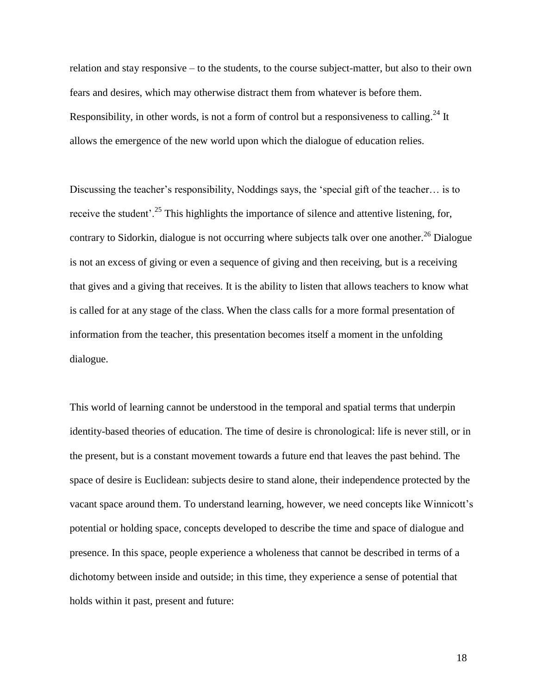relation and stay responsive – to the students, to the course subject-matter, but also to their own fears and desires, which may otherwise distract them from whatever is before them. Responsibility, in other words, is not a form of control but a responsiveness to calling.<sup>24</sup> It allows the emergence of the new world upon which the dialogue of education relies.

Discussing the teacher"s responsibility, Noddings says, the "special gift of the teacher… is to receive the student'.<sup>25</sup> This highlights the importance of silence and attentive listening, for, contrary to Sidorkin, dialogue is not occurring where subjects talk over one another.<sup>26</sup> Dialogue is not an excess of giving or even a sequence of giving and then receiving, but is a receiving that gives and a giving that receives. It is the ability to listen that allows teachers to know what is called for at any stage of the class. When the class calls for a more formal presentation of information from the teacher, this presentation becomes itself a moment in the unfolding dialogue.

This world of learning cannot be understood in the temporal and spatial terms that underpin identity-based theories of education. The time of desire is chronological: life is never still, or in the present, but is a constant movement towards a future end that leaves the past behind. The space of desire is Euclidean: subjects desire to stand alone, their independence protected by the vacant space around them. To understand learning, however, we need concepts like Winnicott"s potential or holding space, concepts developed to describe the time and space of dialogue and presence. In this space, people experience a wholeness that cannot be described in terms of a dichotomy between inside and outside; in this time, they experience a sense of potential that holds within it past, present and future: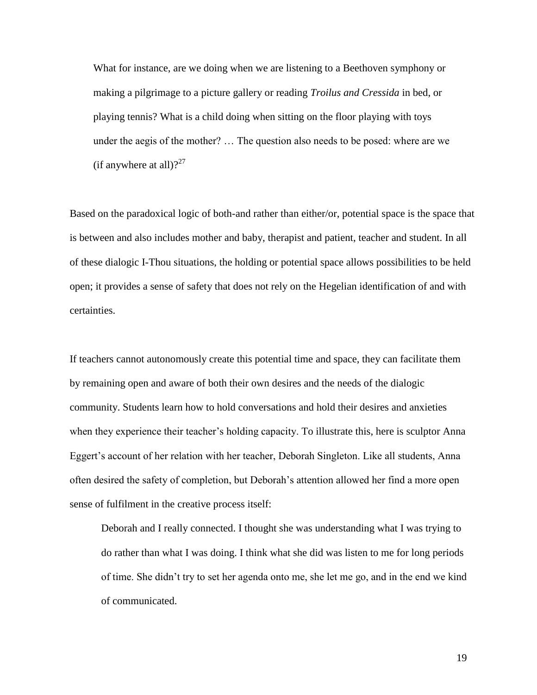What for instance, are we doing when we are listening to a Beethoven symphony or making a pilgrimage to a picture gallery or reading *Troilus and Cressida* in bed, or playing tennis? What is a child doing when sitting on the floor playing with toys under the aegis of the mother? … The question also needs to be posed: where are we (if anywhere at all)? $27$ 

Based on the paradoxical logic of both-and rather than either/or, potential space is the space that is between and also includes mother and baby, therapist and patient, teacher and student. In all of these dialogic I-Thou situations, the holding or potential space allows possibilities to be held open; it provides a sense of safety that does not rely on the Hegelian identification of and with certainties.

If teachers cannot autonomously create this potential time and space, they can facilitate them by remaining open and aware of both their own desires and the needs of the dialogic community. Students learn how to hold conversations and hold their desires and anxieties when they experience their teacher's holding capacity. To illustrate this, here is sculptor Anna Eggert"s account of her relation with her teacher, Deborah Singleton. Like all students, Anna often desired the safety of completion, but Deborah"s attention allowed her find a more open sense of fulfilment in the creative process itself:

Deborah and I really connected. I thought she was understanding what I was trying to do rather than what I was doing. I think what she did was listen to me for long periods of time. She didn"t try to set her agenda onto me, she let me go, and in the end we kind of communicated.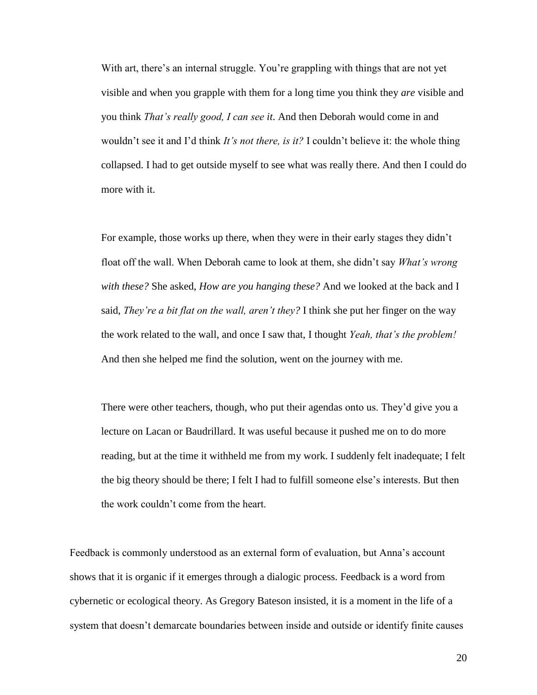With art, there's an internal struggle. You're grappling with things that are not yet visible and when you grapple with them for a long time you think they *are* visible and you think *That's really good, I can see it*. And then Deborah would come in and wouldn"t see it and I"d think *It's not there, is it?* I couldn"t believe it: the whole thing collapsed. I had to get outside myself to see what was really there. And then I could do more with it.

For example, those works up there, when they were in their early stages they didn"t float off the wall. When Deborah came to look at them, she didn"t say *What's wrong with these?* She asked, *How are you hanging these?* And we looked at the back and I said, *They're a bit flat on the wall, aren't they?* I think she put her finger on the way the work related to the wall, and once I saw that, I thought *Yeah, that's the problem!* And then she helped me find the solution, went on the journey with me.

There were other teachers, though, who put their agendas onto us. They"d give you a lecture on Lacan or Baudrillard. It was useful because it pushed me on to do more reading, but at the time it withheld me from my work. I suddenly felt inadequate; I felt the big theory should be there; I felt I had to fulfill someone else"s interests. But then the work couldn"t come from the heart.

Feedback is commonly understood as an external form of evaluation, but Anna's account shows that it is organic if it emerges through a dialogic process. Feedback is a word from cybernetic or ecological theory. As Gregory Bateson insisted, it is a moment in the life of a system that doesn"t demarcate boundaries between inside and outside or identify finite causes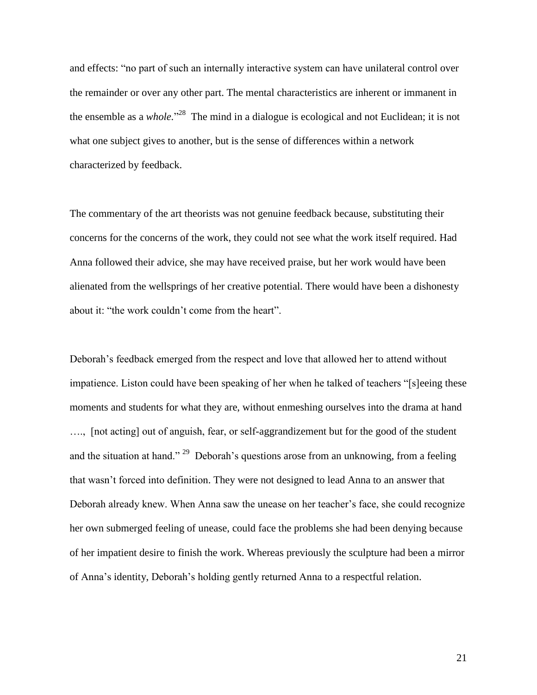and effects: "no part of such an internally interactive system can have unilateral control over the remainder or over any other part. The mental characteristics are inherent or immanent in the ensemble as a *whole.*" <sup>28</sup> The mind in a dialogue is ecological and not Euclidean; it is not what one subject gives to another, but is the sense of differences within a network characterized by feedback.

The commentary of the art theorists was not genuine feedback because, substituting their concerns for the concerns of the work, they could not see what the work itself required. Had Anna followed their advice, she may have received praise, but her work would have been alienated from the wellsprings of her creative potential. There would have been a dishonesty about it: "the work couldn"t come from the heart".

Deborah"s feedback emerged from the respect and love that allowed her to attend without impatience. Liston could have been speaking of her when he talked of teachers "[s]eeing these moments and students for what they are, without enmeshing ourselves into the drama at hand …., [not acting] out of anguish, fear, or self-aggrandizement but for the good of the student and the situation at hand." <sup>29</sup> Deborah's questions arose from an unknowing, from a feeling that wasn"t forced into definition. They were not designed to lead Anna to an answer that Deborah already knew. When Anna saw the unease on her teacher's face, she could recognize her own submerged feeling of unease, could face the problems she had been denying because of her impatient desire to finish the work. Whereas previously the sculpture had been a mirror of Anna"s identity, Deborah"s holding gently returned Anna to a respectful relation.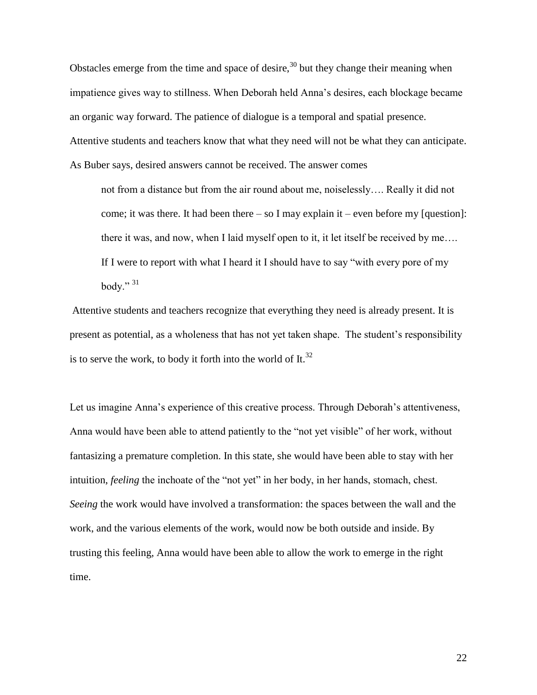Obstacles emerge from the time and space of desire,  $30$  but they change their meaning when impatience gives way to stillness. When Deborah held Anna"s desires, each blockage became an organic way forward. The patience of dialogue is a temporal and spatial presence. Attentive students and teachers know that what they need will not be what they can anticipate. As Buber says, desired answers cannot be received. The answer comes

not from a distance but from the air round about me, noiselessly…. Really it did not come; it was there. It had been there  $-$  so I may explain it  $-$  even before my [question]: there it was, and now, when I laid myself open to it, it let itself be received by me…. If I were to report with what I heard it I should have to say "with every pore of my body." $31$ 

Attentive students and teachers recognize that everything they need is already present. It is present as potential, as a wholeness that has not yet taken shape. The student's responsibility is to serve the work, to body it forth into the world of It.<sup>32</sup>

Let us imagine Anna's experience of this creative process. Through Deborah's attentiveness, Anna would have been able to attend patiently to the "not yet visible" of her work, without fantasizing a premature completion. In this state, she would have been able to stay with her intuition, *feeling* the inchoate of the "not yet" in her body, in her hands, stomach, chest. *Seeing* the work would have involved a transformation: the spaces between the wall and the work, and the various elements of the work, would now be both outside and inside. By trusting this feeling, Anna would have been able to allow the work to emerge in the right time.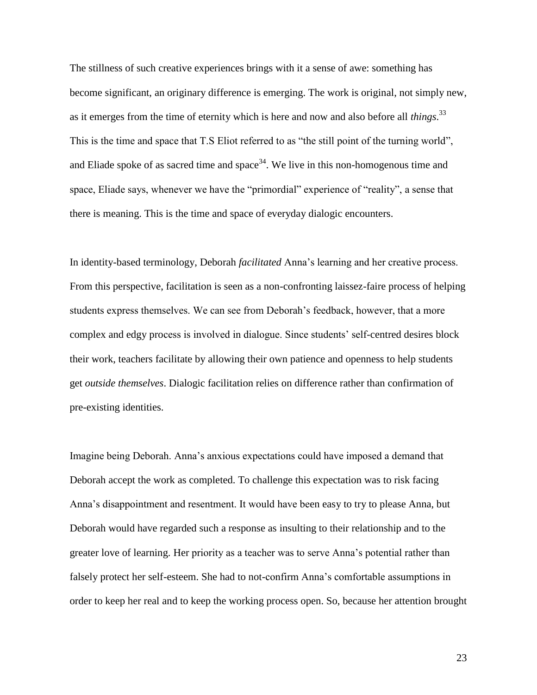The stillness of such creative experiences brings with it a sense of awe: something has become significant, an originary difference is emerging. The work is original, not simply new, as it emerges from the time of eternity which is here and now and also before all *things*. 33 This is the time and space that T.S Eliot referred to as "the still point of the turning world", and Eliade spoke of as sacred time and space<sup>34</sup>. We live in this non-homogenous time and space, Eliade says, whenever we have the "primordial" experience of "reality", a sense that there is meaning. This is the time and space of everyday dialogic encounters.

In identity-based terminology, Deborah *facilitated* Anna"s learning and her creative process. From this perspective, facilitation is seen as a non-confronting laissez-faire process of helping students express themselves. We can see from Deborah"s feedback, however, that a more complex and edgy process is involved in dialogue. Since students" self-centred desires block their work, teachers facilitate by allowing their own patience and openness to help students get *outside themselves*. Dialogic facilitation relies on difference rather than confirmation of pre-existing identities.

Imagine being Deborah. Anna"s anxious expectations could have imposed a demand that Deborah accept the work as completed. To challenge this expectation was to risk facing Anna"s disappointment and resentment. It would have been easy to try to please Anna, but Deborah would have regarded such a response as insulting to their relationship and to the greater love of learning. Her priority as a teacher was to serve Anna"s potential rather than falsely protect her self-esteem. She had to not-confirm Anna"s comfortable assumptions in order to keep her real and to keep the working process open. So, because her attention brought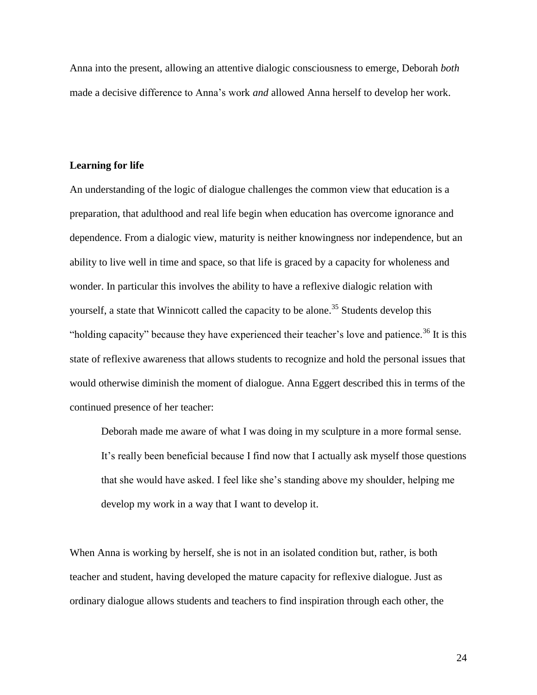Anna into the present, allowing an attentive dialogic consciousness to emerge, Deborah *both* made a decisive difference to Anna"s work *and* allowed Anna herself to develop her work.

## **Learning for life**

An understanding of the logic of dialogue challenges the common view that education is a preparation, that adulthood and real life begin when education has overcome ignorance and dependence. From a dialogic view, maturity is neither knowingness nor independence, but an ability to live well in time and space, so that life is graced by a capacity for wholeness and wonder. In particular this involves the ability to have a reflexive dialogic relation with yourself, a state that Winnicott called the capacity to be alone.<sup>35</sup> Students develop this "holding capacity" because they have experienced their teacher's love and patience.<sup>36</sup> It is this state of reflexive awareness that allows students to recognize and hold the personal issues that would otherwise diminish the moment of dialogue. Anna Eggert described this in terms of the continued presence of her teacher:

Deborah made me aware of what I was doing in my sculpture in a more formal sense. It"s really been beneficial because I find now that I actually ask myself those questions that she would have asked. I feel like she"s standing above my shoulder, helping me develop my work in a way that I want to develop it.

When Anna is working by herself, she is not in an isolated condition but, rather, is both teacher and student, having developed the mature capacity for reflexive dialogue. Just as ordinary dialogue allows students and teachers to find inspiration through each other, the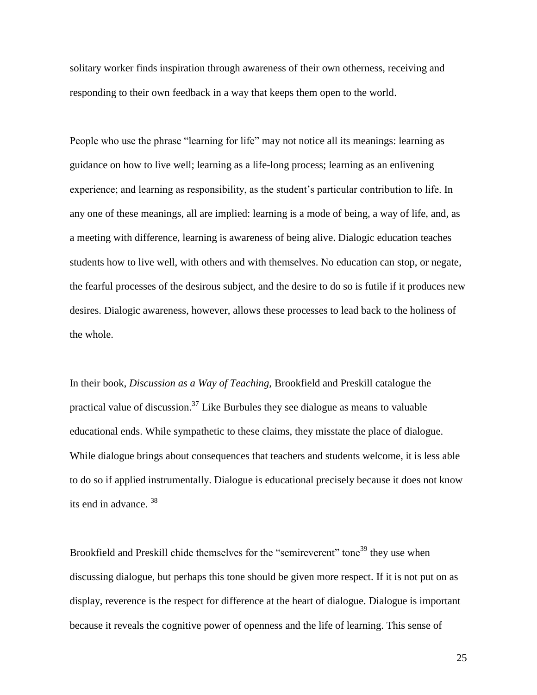solitary worker finds inspiration through awareness of their own otherness, receiving and responding to their own feedback in a way that keeps them open to the world.

People who use the phrase "learning for life" may not notice all its meanings: learning as guidance on how to live well; learning as a life-long process; learning as an enlivening experience; and learning as responsibility, as the student"s particular contribution to life. In any one of these meanings, all are implied: learning is a mode of being, a way of life, and, as a meeting with difference, learning is awareness of being alive. Dialogic education teaches students how to live well, with others and with themselves. No education can stop, or negate, the fearful processes of the desirous subject, and the desire to do so is futile if it produces new desires. Dialogic awareness, however, allows these processes to lead back to the holiness of the whole.

In their book, *Discussion as a Way of Teaching,* Brookfield and Preskill catalogue the practical value of discussion.<sup>37</sup> Like Burbules they see dialogue as means to valuable educational ends. While sympathetic to these claims, they misstate the place of dialogue. While dialogue brings about consequences that teachers and students welcome, it is less able to do so if applied instrumentally. Dialogue is educational precisely because it does not know its end in advance. <sup>38</sup>

Brookfield and Preskill chide themselves for the "semireverent" tone<sup>39</sup> they use when discussing dialogue, but perhaps this tone should be given more respect. If it is not put on as display, reverence is the respect for difference at the heart of dialogue. Dialogue is important because it reveals the cognitive power of openness and the life of learning. This sense of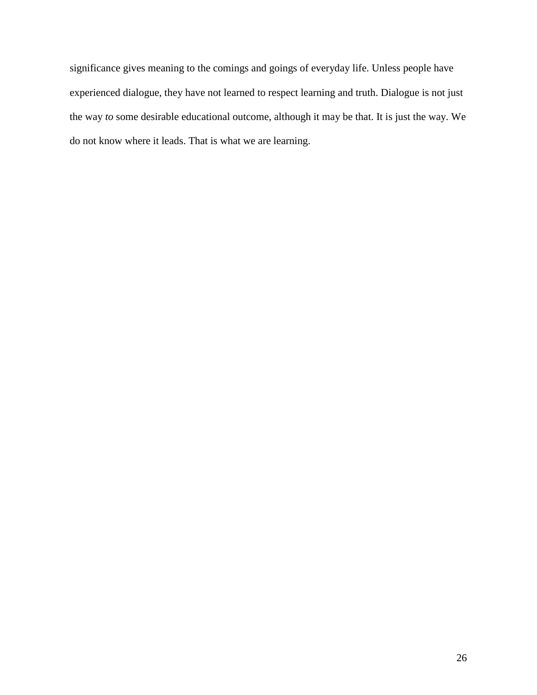significance gives meaning to the comings and goings of everyday life. Unless people have experienced dialogue, they have not learned to respect learning and truth. Dialogue is not just the way *to* some desirable educational outcome, although it may be that. It is just the way. We do not know where it leads. That is what we are learning.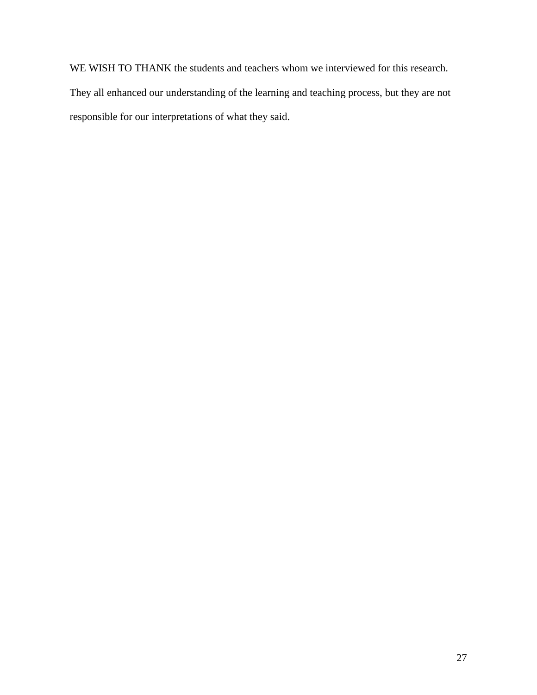WE WISH TO THANK the students and teachers whom we interviewed for this research. They all enhanced our understanding of the learning and teaching process, but they are not responsible for our interpretations of what they said.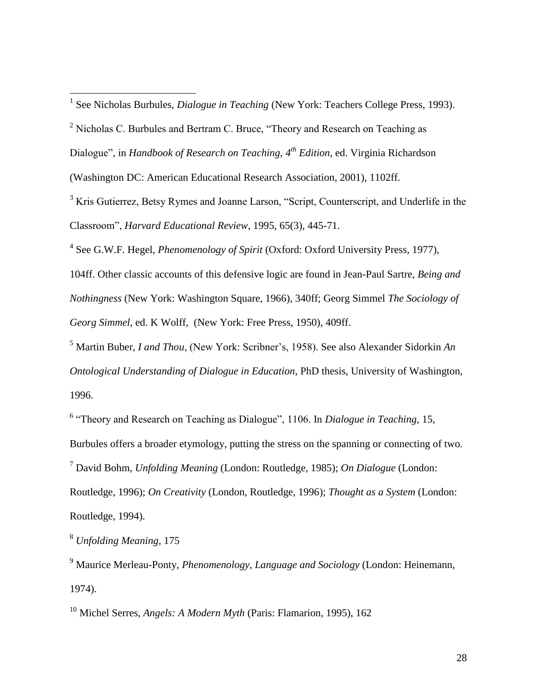Dialogue", in *Handbook of Research on Teaching, 4th Edition*, ed. Virginia Richardson

(Washington DC: American Educational Research Association, 2001), 1102ff.

<sup>3</sup> Kris Gutierrez, Betsy Rymes and Joanne Larson, "Script, Counterscript, and Underlife in the Classroom", *Harvard Educational Review*, 1995, 65(3), 445-71.

4 See G.W.F. Hegel, *Phenomenology of Spirit* (Oxford: Oxford University Press, 1977),

104ff. Other classic accounts of this defensive logic are found in Jean-Paul Sartre, *Being and Nothingness* (New York: Washington Square, 1966), 340ff; Georg Simmel *The Sociology of Georg Simmel,* ed. K Wolff, (New York: Free Press, 1950), 409ff.

<sup>5</sup> Martin Buber, *I and Thou*, (New York: Scribner"s, 1958). See also Alexander Sidorkin *An Ontological Understanding of Dialogue in Education*, PhD thesis, University of Washington, 1996.

6 "Theory and Research on Teaching as Dialogue", 1106. In *Dialogue in Teaching*, 15, Burbules offers a broader etymology, putting the stress on the spanning or connecting of two. <sup>7</sup> David Bohm, *Unfolding Meaning* (London: Routledge, 1985); *On Dialogue* (London: Routledge, 1996); *On Creativity* (London, Routledge, 1996); *Thought as a System* (London: Routledge, 1994).

<sup>8</sup> *Unfolding Meaning*, 175

<sup>9</sup> Maurice Merleau-Ponty, *Phenomenology, Language and Sociology* (London: Heinemann, 1974).

<sup>10</sup> Michel Serres, *Angels: A Modern Myth* (Paris: Flamarion, 1995), 162

 1 See Nicholas Burbules, *Dialogue in Teaching* (New York: Teachers College Press, 1993).

 $2$  Nicholas C. Burbules and Bertram C. Bruce, "Theory and Research on Teaching as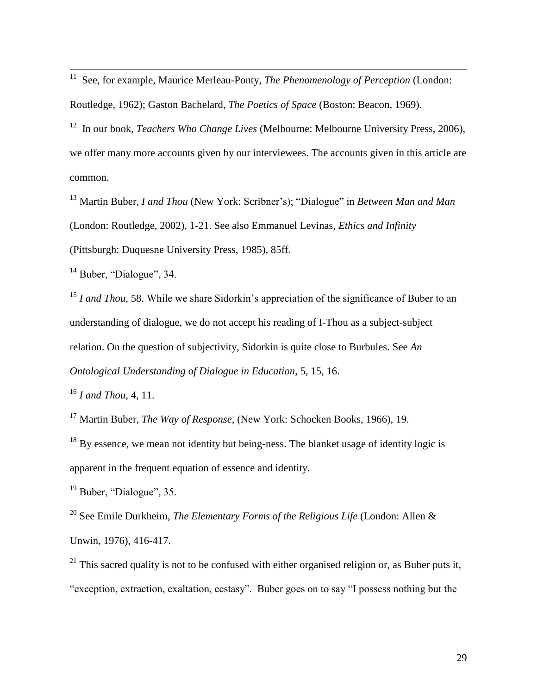11 See, for example, Maurice Merleau-Ponty, *The Phenomenology of Perception* (London:

Routledge, 1962); Gaston Bachelard, *The Poetics of Space* (Boston: Beacon, 1969).

<sup>12</sup> In our book, *Teachers Who Change Lives* (Melbourne: Melbourne University Press, 2006), we offer many more accounts given by our interviewees. The accounts given in this article are common.

<sup>13</sup> Martin Buber, *I and Thou* (New York: Scribner's); "Dialogue" in *Between Man and Man* (London: Routledge, 2002), 1-21. See also Emmanuel Levinas, *Ethics and Infinity*  (Pittsburgh: Duquesne University Press, 1985), 85ff.

<sup>14</sup> Buber, "Dialogue", 34.

<sup>15</sup> *I and Thou*, 58. While we share Sidorkin's appreciation of the significance of Buber to an understanding of dialogue, we do not accept his reading of I-Thou as a subject-subject relation. On the question of subjectivity, Sidorkin is quite close to Burbules. See *An Ontological Understanding of Dialogue in Education*, 5, 15, 16.

<sup>16</sup> *I and Thou*, 4, 11.

<sup>17</sup> Martin Buber, *The Way of Response,* (New York: Schocken Books, 1966), 19.

 $18$  By essence, we mean not identity but being-ness. The blanket usage of identity logic is apparent in the frequent equation of essence and identity.

<sup>19</sup> Buber, "Dialogue", 35.

<sup>20</sup> See Emile Durkheim, *The Elementary Forms of the Religious Life* (London: Allen & Unwin, 1976), 416-417.

 $^{21}$  This sacred quality is not to be confused with either organised religion or, as Buber puts it, "exception, extraction, exaltation, ecstasy". Buber goes on to say "I possess nothing but the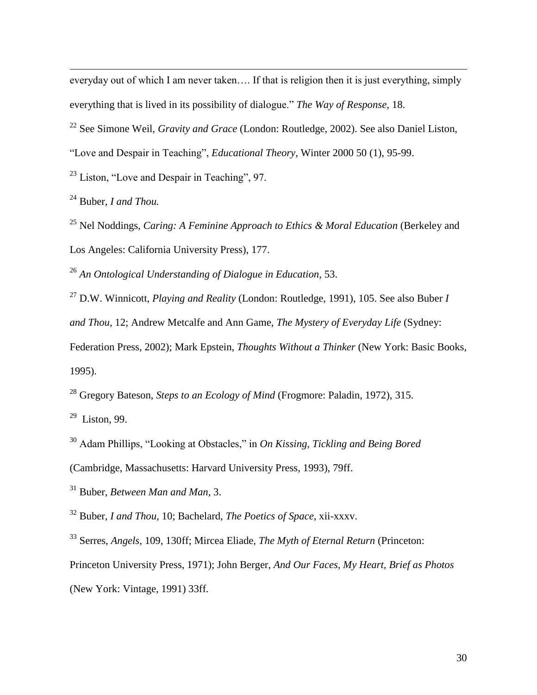everyday out of which I am never taken…. If that is religion then it is just everything, simply everything that is lived in its possibility of dialogue." *The Way of Response*, 18.

<sup>22</sup> See Simone Weil, *Gravity and Grace* (London: Routledge, 2002). See also Daniel Liston,

"Love and Despair in Teaching", *Educational Theory*, Winter 2000 50 (1), 95-99.

<sup>23</sup> Liston, "Love and Despair in Teaching", 97.

<sup>24</sup> Buber*, I and Thou.*

<u>.</u>

<sup>25</sup> Nel Noddings, *Caring: A Feminine Approach to Ethics & Moral Education* (Berkeley and Los Angeles: California University Press), 177.

<sup>26</sup> *An Ontological Understanding of Dialogue in Education*, 53.

<sup>27</sup> D.W. Winnicott, *Playing and Reality* (London: Routledge, 1991), 105. See also Buber *I* 

*and Thou*, 12; Andrew Metcalfe and Ann Game, *The Mystery of Everyday Life* (Sydney:

Federation Press, 2002); Mark Epstein, *Thoughts Without a Thinker* (New York: Basic Books, 1995).

<sup>28</sup> Gregory Bateson, *Steps to an Ecology of Mind* (Frogmore: Paladin, 1972), 315.

 $29$  Liston, 99.

<sup>30</sup> Adam Phillips, "Looking at Obstacles," in *On Kissing, Tickling and Being Bored*  (Cambridge, Massachusetts: Harvard University Press, 1993), 79ff.

<sup>31</sup> Buber, *Between Man and Man*, 3.

<sup>32</sup> Buber, *I and Thou,* 10; Bachelard, *The Poetics of Space*, xii-xxxv.

<sup>33</sup> Serres, *Angels*, 109, 130ff; Mircea Eliade, *The Myth of Eternal Return* (Princeton: Princeton University Press, 1971); John Berger, *And Our Faces, My Heart, Brief as Photos* (New York: Vintage, 1991) 33ff.